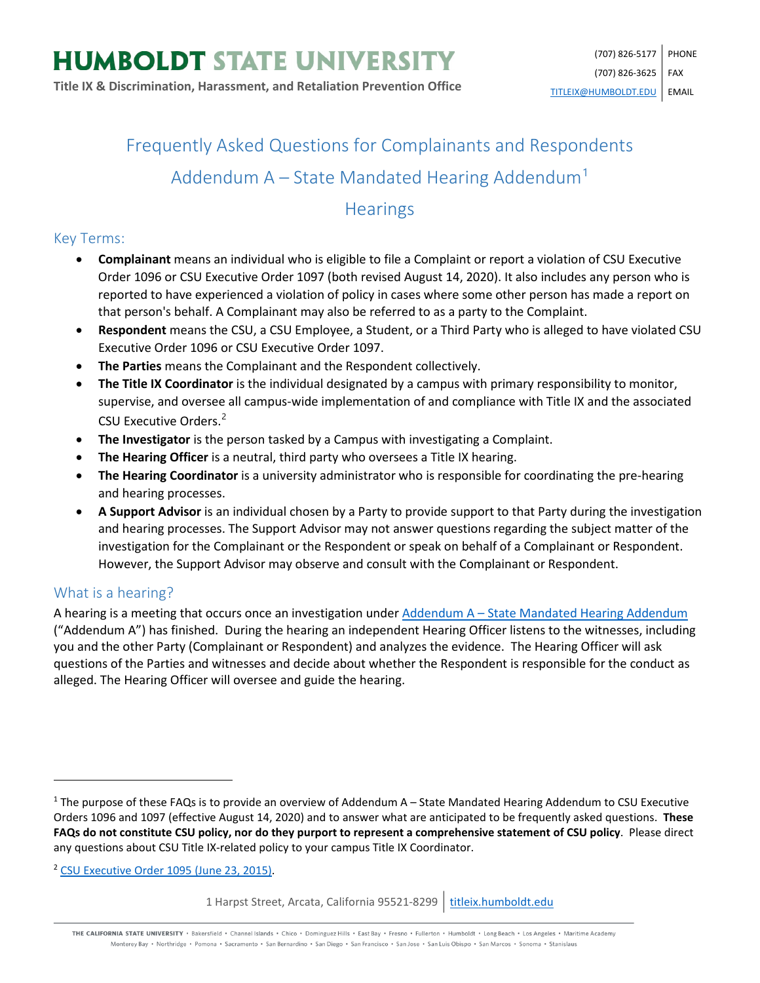# Frequently Asked Questions for Complainants and Respondents Addendum  $A -$  State Mandated Hearing Addendum<sup>[1](#page-0-0)</sup>

# **Hearings**

# Key Terms:

- **Complainant** means an individual who is eligible to file a Complaint or report a violation of CSU Executive Order 1096 or CSU Executive Order 1097 (both revised August 14, 2020). It also includes any person who is reported to have experienced a violation of policy in cases where some other person has made a report on that person's behalf. A Complainant may also be referred to as a party to the Complaint.
- **Respondent** means the CSU, a CSU Employee, a Student, or a Third Party who is alleged to have violated CSU Executive Order 1096 or CSU Executive Order 1097.
- **The Parties** means the Complainant and the Respondent collectively.
- **The Title IX Coordinator** is the individual designated by a campus with primary responsibility to monitor, supervise, and oversee all campus-wide implementation of and compliance with Title IX and the associated CSU Executive Orders.<sup>[2](#page-0-1)</sup>
- **The Investigator** is the person tasked by a Campus with investigating a Complaint.
- **The Hearing Officer** is a neutral, third party who oversees a Title IX hearing.
- **The Hearing Coordinator** is a university administrator who is responsible for coordinating the pre-hearing and hearing processes.
- **A Support Advisor** is an individual chosen by a Party to provide support to that Party during the investigation and hearing processes. The Support Advisor may not answer questions regarding the subject matter of the investigation for the Complainant or the Respondent or speak on behalf of a Complainant or Respondent. However, the Support Advisor may observe and consult with the Complainant or Respondent.

# What is a hearing?

 $\overline{\phantom{a}}$ 

A hearing is a meeting that occurs once an investigation under Addendum A - [State Mandated Hearing Addendum](https://calstate.policystat.com/policy/8453516/latest/#autoid-58zq4) ("Addendum A") has finished. During the hearing an independent Hearing Officer listens to the witnesses, including you and the other Party (Complainant or Respondent) and analyzes the evidence. The Hearing Officer will ask questions of the Parties and witnesses and decide about whether the Respondent is responsible for the conduct as alleged. The Hearing Officer will oversee and guide the hearing.

<span id="page-0-1"></span><sup>2</sup> [CSU Executive Order 1095 \(June 23, 2015\).](https://calstate.policystat.com/policy/6741651/latest/)

1 Harpst Street, Arcata, California 95521-8299 | [titleix.humboldt.edu](https://titleix.humboldt.edu/)

THE CALIFORNIA STATE UNIVERSITY · Bakersfield · Channel Islands · Chico · Dominguez Hills · East Bay · Fresno · Fullerton · Humboldt · Long Beach · Los Angeles · Maritime Academy Monterey Bay . Northridge . Pomona . Sacramento . San Bernardino . San Diego . San Francisco . San Jose . San Luis Obispo . San Marcos . Sonoma . Stanislaus

<span id="page-0-0"></span> $1$  The purpose of these FAQs is to provide an overview of Addendum A – State Mandated Hearing Addendum to CSU Executive Orders 1096 and 1097 (effective August 14, 2020) and to answer what are anticipated to be frequently asked questions. **These FAQs do not constitute CSU policy, nor do they purport to represent a comprehensive statement of CSU policy**. Please direct any questions about CSU Title IX-related policy to your campus Title IX Coordinator.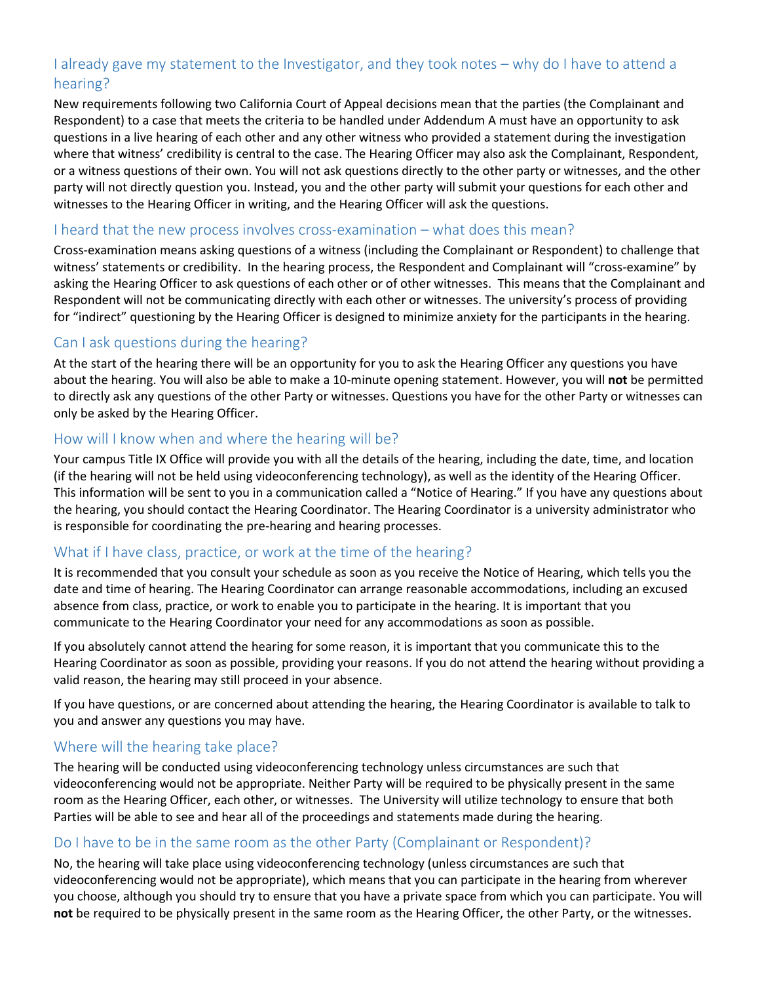# I already gave my statement to the Investigator, and they took notes – why do I have to attend a hearing?

New requirements following two California Court of Appeal decisions mean that the parties (the Complainant and Respondent) to a case that meets the criteria to be handled under Addendum A must have an opportunity to ask questions in a live hearing of each other and any other witness who provided a statement during the investigation where that witness' credibility is central to the case. The Hearing Officer may also ask the Complainant, Respondent, or a witness questions of their own. You will not ask questions directly to the other party or witnesses, and the other party will not directly question you. Instead, you and the other party will submit your questions for each other and witnesses to the Hearing Officer in writing, and the Hearing Officer will ask the questions.

#### I heard that the new process involves cross-examination – what does this mean?

Cross-examination means asking questions of a witness (including the Complainant or Respondent) to challenge that witness' statements or credibility. In the hearing process, the Respondent and Complainant will "cross-examine" by asking the Hearing Officer to ask questions of each other or of other witnesses. This means that the Complainant and Respondent will not be communicating directly with each other or witnesses. The university's process of providing for "indirect" questioning by the Hearing Officer is designed to minimize anxiety for the participants in the hearing.

## Can I ask questions during the hearing?

At the start of the hearing there will be an opportunity for you to ask the Hearing Officer any questions you have about the hearing. You will also be able to make a 10-minute opening statement. However, you will **not** be permitted to directly ask any questions of the other Party or witnesses. Questions you have for the other Party or witnesses can only be asked by the Hearing Officer.

#### How will I know when and where the hearing will be?

Your campus Title IX Office will provide you with all the details of the hearing, including the date, time, and location (if the hearing will not be held using videoconferencing technology), as well as the identity of the Hearing Officer. This information will be sent to you in a communication called a "Notice of Hearing." If you have any questions about the hearing, you should contact the Hearing Coordinator. The Hearing Coordinator is a university administrator who is responsible for coordinating the pre-hearing and hearing processes.

# What if I have class, practice, or work at the time of the hearing?

It is recommended that you consult your schedule as soon as you receive the Notice of Hearing, which tells you the date and time of hearing. The Hearing Coordinator can arrange reasonable accommodations, including an excused absence from class, practice, or work to enable you to participate in the hearing. It is important that you communicate to the Hearing Coordinator your need for any accommodations as soon as possible.

If you absolutely cannot attend the hearing for some reason, it is important that you communicate this to the Hearing Coordinator as soon as possible, providing your reasons. If you do not attend the hearing without providing a valid reason, the hearing may still proceed in your absence.

If you have questions, or are concerned about attending the hearing, the Hearing Coordinator is available to talk to you and answer any questions you may have.

#### Where will the hearing take place?

The hearing will be conducted using videoconferencing technology unless circumstances are such that videoconferencing would not be appropriate. Neither Party will be required to be physically present in the same room as the Hearing Officer, each other, or witnesses. The University will utilize technology to ensure that both Parties will be able to see and hear all of the proceedings and statements made during the hearing.

#### Do I have to be in the same room as the other Party (Complainant or Respondent)?

No, the hearing will take place using videoconferencing technology (unless circumstances are such that videoconferencing would not be appropriate), which means that you can participate in the hearing from wherever you choose, although you should try to ensure that you have a private space from which you can participate. You will **not** be required to be physically present in the same room as the Hearing Officer, the other Party, or the witnesses.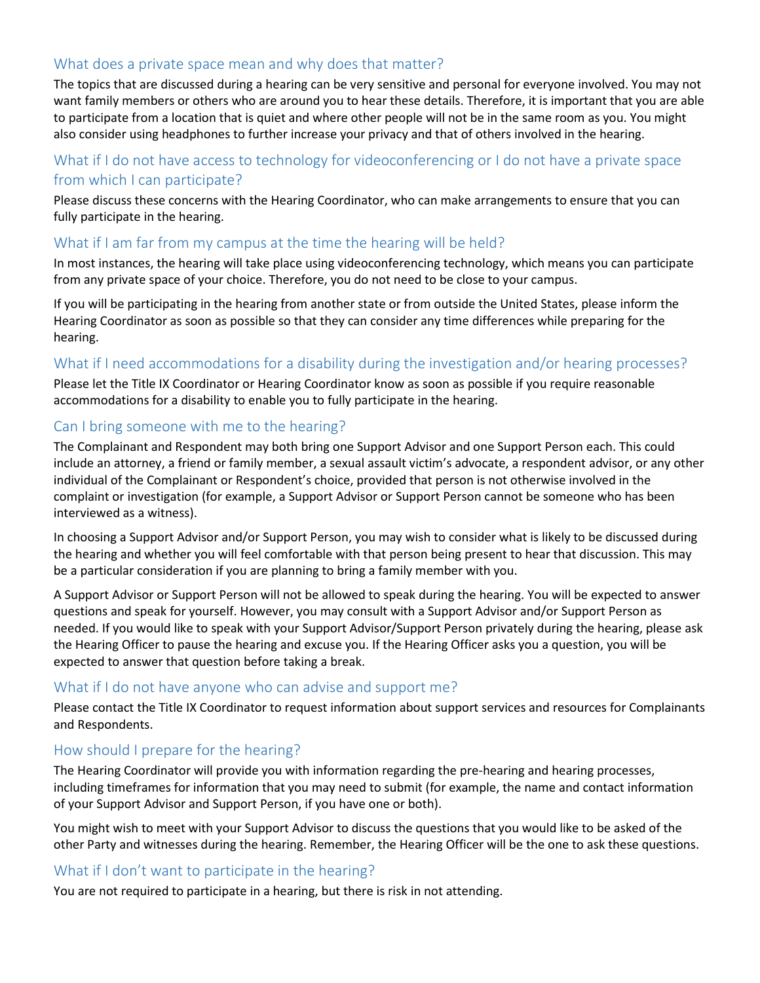# What does a private space mean and why does that matter?

The topics that are discussed during a hearing can be very sensitive and personal for everyone involved. You may not want family members or others who are around you to hear these details. Therefore, it is important that you are able to participate from a location that is quiet and where other people will not be in the same room as you. You might also consider using headphones to further increase your privacy and that of others involved in the hearing.

## What if I do not have access to technology for videoconferencing or I do not have a private space from which I can participate?

Please discuss these concerns with the Hearing Coordinator, who can make arrangements to ensure that you can fully participate in the hearing.

#### What if I am far from my campus at the time the hearing will be held?

In most instances, the hearing will take place using videoconferencing technology, which means you can participate from any private space of your choice. Therefore, you do not need to be close to your campus.

If you will be participating in the hearing from another state or from outside the United States, please inform the Hearing Coordinator as soon as possible so that they can consider any time differences while preparing for the hearing.

#### What if I need accommodations for a disability during the investigation and/or hearing processes?

Please let the Title IX Coordinator or Hearing Coordinator know as soon as possible if you require reasonable accommodations for a disability to enable you to fully participate in the hearing.

#### Can I bring someone with me to the hearing?

The Complainant and Respondent may both bring one Support Advisor and one Support Person each. This could include an attorney, a friend or family member, a sexual assault victim's advocate, a respondent advisor, or any other individual of the Complainant or Respondent's choice, provided that person is not otherwise involved in the complaint or investigation (for example, a Support Advisor or Support Person cannot be someone who has been interviewed as a witness).

In choosing a Support Advisor and/or Support Person, you may wish to consider what is likely to be discussed during the hearing and whether you will feel comfortable with that person being present to hear that discussion. This may be a particular consideration if you are planning to bring a family member with you.

A Support Advisor or Support Person will not be allowed to speak during the hearing. You will be expected to answer questions and speak for yourself. However, you may consult with a Support Advisor and/or Support Person as needed. If you would like to speak with your Support Advisor/Support Person privately during the hearing, please ask the Hearing Officer to pause the hearing and excuse you. If the Hearing Officer asks you a question, you will be expected to answer that question before taking a break.

#### What if I do not have anyone who can advise and support me?

Please contact the Title IX Coordinator to request information about support services and resources for Complainants and Respondents.

#### How should I prepare for the hearing?

The Hearing Coordinator will provide you with information regarding the pre-hearing and hearing processes, including timeframes for information that you may need to submit (for example, the name and contact information of your Support Advisor and Support Person, if you have one or both).

You might wish to meet with your Support Advisor to discuss the questions that you would like to be asked of the other Party and witnesses during the hearing. Remember, the Hearing Officer will be the one to ask these questions.

#### What if I don't want to participate in the hearing?

You are not required to participate in a hearing, but there is risk in not attending.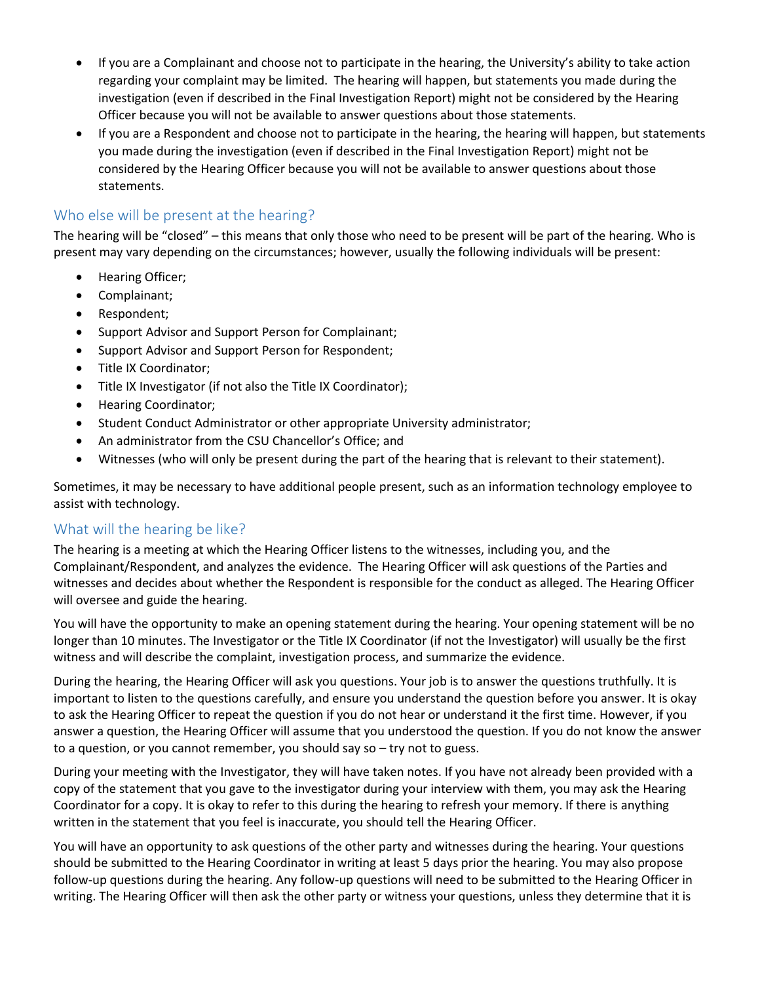- If you are a Complainant and choose not to participate in the hearing, the University's ability to take action regarding your complaint may be limited. The hearing will happen, but statements you made during the investigation (even if described in the Final Investigation Report) might not be considered by the Hearing Officer because you will not be available to answer questions about those statements.
- If you are a Respondent and choose not to participate in the hearing, the hearing will happen, but statements you made during the investigation (even if described in the Final Investigation Report) might not be considered by the Hearing Officer because you will not be available to answer questions about those statements.

# Who else will be present at the hearing?

The hearing will be "closed" – this means that only those who need to be present will be part of the hearing. Who is present may vary depending on the circumstances; however, usually the following individuals will be present:

- Hearing Officer;
- Complainant;
- Respondent;
- Support Advisor and Support Person for Complainant;
- Support Advisor and Support Person for Respondent;
- Title IX Coordinator;
- Title IX Investigator (if not also the Title IX Coordinator);
- Hearing Coordinator;
- Student Conduct Administrator or other appropriate University administrator;
- An administrator from the CSU Chancellor's Office; and
- Witnesses (who will only be present during the part of the hearing that is relevant to their statement).

Sometimes, it may be necessary to have additional people present, such as an information technology employee to assist with technology.

#### What will the hearing be like?

The hearing is a meeting at which the Hearing Officer listens to the witnesses, including you, and the Complainant/Respondent, and analyzes the evidence. The Hearing Officer will ask questions of the Parties and witnesses and decides about whether the Respondent is responsible for the conduct as alleged. The Hearing Officer will oversee and guide the hearing.

You will have the opportunity to make an opening statement during the hearing. Your opening statement will be no longer than 10 minutes. The Investigator or the Title IX Coordinator (if not the Investigator) will usually be the first witness and will describe the complaint, investigation process, and summarize the evidence.

During the hearing, the Hearing Officer will ask you questions. Your job is to answer the questions truthfully. It is important to listen to the questions carefully, and ensure you understand the question before you answer. It is okay to ask the Hearing Officer to repeat the question if you do not hear or understand it the first time. However, if you answer a question, the Hearing Officer will assume that you understood the question. If you do not know the answer to a question, or you cannot remember, you should say so – try not to guess.

During your meeting with the Investigator, they will have taken notes. If you have not already been provided with a copy of the statement that you gave to the investigator during your interview with them, you may ask the Hearing Coordinator for a copy. It is okay to refer to this during the hearing to refresh your memory. If there is anything written in the statement that you feel is inaccurate, you should tell the Hearing Officer.

You will have an opportunity to ask questions of the other party and witnesses during the hearing. Your questions should be submitted to the Hearing Coordinator in writing at least 5 days prior the hearing. You may also propose follow-up questions during the hearing. Any follow-up questions will need to be submitted to the Hearing Officer in writing. The Hearing Officer will then ask the other party or witness your questions, unless they determine that it is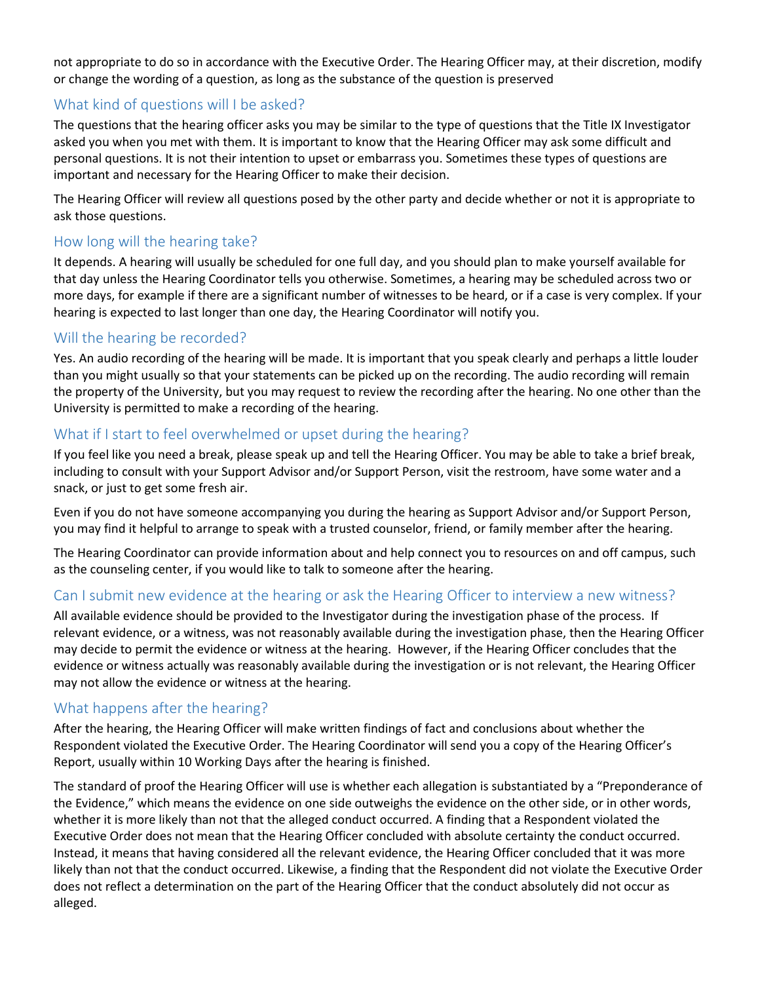not appropriate to do so in accordance with the Executive Order. The Hearing Officer may, at their discretion, modify or change the wording of a question, as long as the substance of the question is preserved

# What kind of questions will I be asked?

The questions that the hearing officer asks you may be similar to the type of questions that the Title IX Investigator asked you when you met with them. It is important to know that the Hearing Officer may ask some difficult and personal questions. It is not their intention to upset or embarrass you. Sometimes these types of questions are important and necessary for the Hearing Officer to make their decision.

The Hearing Officer will review all questions posed by the other party and decide whether or not it is appropriate to ask those questions.

## How long will the hearing take?

It depends. A hearing will usually be scheduled for one full day, and you should plan to make yourself available for that day unless the Hearing Coordinator tells you otherwise. Sometimes, a hearing may be scheduled across two or more days, for example if there are a significant number of witnesses to be heard, or if a case is very complex. If your hearing is expected to last longer than one day, the Hearing Coordinator will notify you.

# Will the hearing be recorded?

Yes. An audio recording of the hearing will be made. It is important that you speak clearly and perhaps a little louder than you might usually so that your statements can be picked up on the recording. The audio recording will remain the property of the University, but you may request to review the recording after the hearing. No one other than the University is permitted to make a recording of the hearing.

## What if I start to feel overwhelmed or upset during the hearing?

If you feel like you need a break, please speak up and tell the Hearing Officer. You may be able to take a brief break, including to consult with your Support Advisor and/or Support Person, visit the restroom, have some water and a snack, or just to get some fresh air.

Even if you do not have someone accompanying you during the hearing as Support Advisor and/or Support Person, you may find it helpful to arrange to speak with a trusted counselor, friend, or family member after the hearing.

The Hearing Coordinator can provide information about and help connect you to resources on and off campus, such as the counseling center, if you would like to talk to someone after the hearing.

#### Can I submit new evidence at the hearing or ask the Hearing Officer to interview a new witness?

All available evidence should be provided to the Investigator during the investigation phase of the process. If relevant evidence, or a witness, was not reasonably available during the investigation phase, then the Hearing Officer may decide to permit the evidence or witness at the hearing. However, if the Hearing Officer concludes that the evidence or witness actually was reasonably available during the investigation or is not relevant, the Hearing Officer may not allow the evidence or witness at the hearing.

# What happens after the hearing?

After the hearing, the Hearing Officer will make written findings of fact and conclusions about whether the Respondent violated the Executive Order. The Hearing Coordinator will send you a copy of the Hearing Officer's Report, usually within 10 Working Days after the hearing is finished.

The standard of proof the Hearing Officer will use is whether each allegation is substantiated by a "Preponderance of the Evidence," which means the evidence on one side outweighs the evidence on the other side, or in other words, whether it is more likely than not that the alleged conduct occurred. A finding that a Respondent violated the Executive Order does not mean that the Hearing Officer concluded with absolute certainty the conduct occurred. Instead, it means that having considered all the relevant evidence, the Hearing Officer concluded that it was more likely than not that the conduct occurred. Likewise, a finding that the Respondent did not violate the Executive Order does not reflect a determination on the part of the Hearing Officer that the conduct absolutely did not occur as alleged.